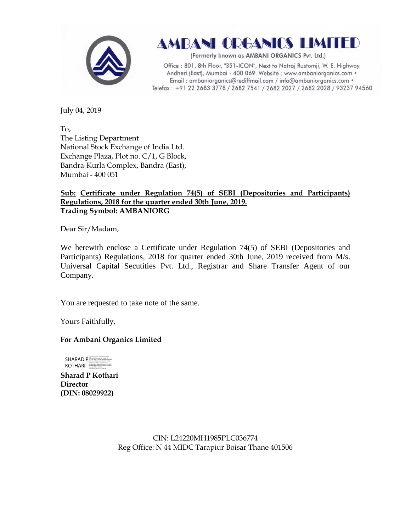

AMBANI ORGANICS LIMITED

(Formerly known as AMBANI ORGANICS Pvt. Ltd.)

Office: 801, 8th Floor, "351-ICON", Next to Natraj Rustomji, W. E. Highway, Andheri (East), Mumbai - 400 069. Website : www.ambaniorganics.com • Email: ambaniorganics@rediffmail.com / info@ambaniorganics.com . Telefax: +91 22 2683 3778 / 2682 7541 / 2682 2027 / 2682 2028 / 93237 94560

July 04, 2019

To, The Listing Department National Stock Exchange of India Ltd. Exchange Plaza, Plot no. C/1, G Block, Bandra-Kurla Complex, Bandra (East), Mumbai - 400 051

## **Sub: Certificate under Regulation 74(5) of SEBI (Depositories and Participants) Regulations, 2018 for the quarter ended 30th June, 2019. Trading Symbol: AMBANIORG**

Dear Sir/Madam,

We herewith enclose a Certificate under Regulation 74(5) of SEBI (Depositories and Participants) Regulations, 2018 for quarter ended 30th June, 2019 received from M/s. Universal Capital Secutities Pvt. Ltd., Registrar and Share Transfer Agent of our Company.

You are requested to take note of the same.

Yours Faithfully,

## **For Ambani Organics Limited**



**Sharad P Kothari Director (DIN: 08029922)**

> CIN: L24220MH1985PLC036774 Reg Office: N 44 MIDC Tarapiur Boisar Thane 401506